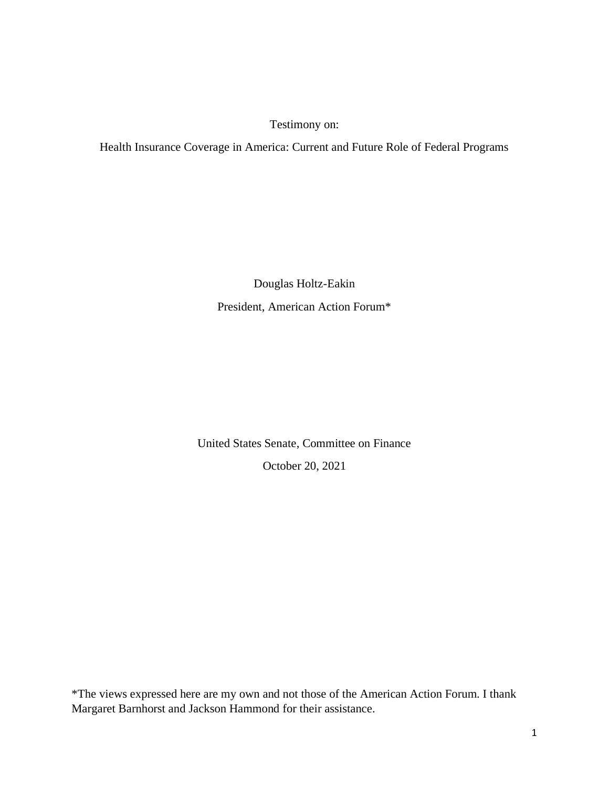Testimony on:

Health Insurance Coverage in America: Current and Future Role of Federal Programs

Douglas Holtz-Eakin President, American Action Forum\*

United States Senate, Committee on Finance

October 20, 2021

\*The views expressed here are my own and not those of the American Action Forum. I thank Margaret Barnhorst and Jackson Hammond for their assistance.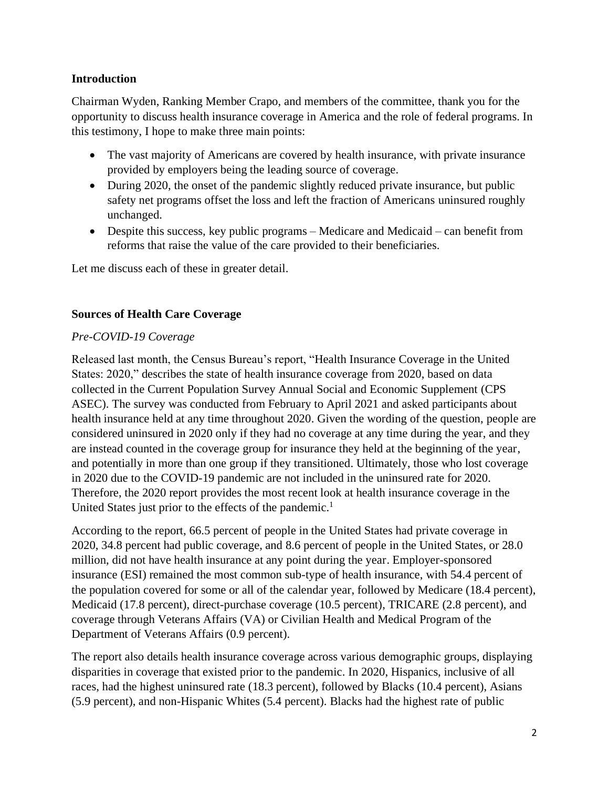### **Introduction**

Chairman Wyden, Ranking Member Crapo, and members of the committee, thank you for the opportunity to discuss health insurance coverage in America and the role of federal programs. In this testimony, I hope to make three main points:

- The vast majority of Americans are covered by health insurance, with private insurance provided by employers being the leading source of coverage.
- During 2020, the onset of the pandemic slightly reduced private insurance, but public safety net programs offset the loss and left the fraction of Americans uninsured roughly unchanged.
- Despite this success, key public programs Medicare and Medicaid can benefit from reforms that raise the value of the care provided to their beneficiaries.

Let me discuss each of these in greater detail.

# **Sources of Health Care Coverage**

# *Pre-COVID-19 Coverage*

Released last month, the Census Bureau's report, "Health Insurance Coverage in the United States: 2020," describes the state of health insurance coverage from 2020, based on data collected in the Current Population Survey Annual Social and Economic Supplement (CPS ASEC). The survey was conducted from February to April 2021 and asked participants about health insurance held at any time throughout 2020. Given the wording of the question, people are considered uninsured in 2020 only if they had no coverage at any time during the year, and they are instead counted in the coverage group for insurance they held at the beginning of the year, and potentially in more than one group if they transitioned. Ultimately, those who lost coverage in 2020 due to the COVID-19 pandemic are not included in the uninsured rate for 2020. Therefore, the 2020 report provides the most recent look at health insurance coverage in the United States just prior to the effects of the pandemic.<sup>1</sup>

According to the report, 66.5 percent of people in the United States had private coverage in 2020, 34.8 percent had public coverage, and 8.6 percent of people in the United States, or 28.0 million, did not have health insurance at any point during the year. Employer-sponsored insurance (ESI) remained the most common sub-type of health insurance, with 54.4 percent of the population covered for some or all of the calendar year, followed by Medicare (18.4 percent), Medicaid (17.8 percent), direct-purchase coverage (10.5 percent), TRICARE (2.8 percent), and coverage through Veterans Affairs (VA) or Civilian Health and Medical Program of the Department of Veterans Affairs (0.9 percent).

The report also details health insurance coverage across various demographic groups, displaying disparities in coverage that existed prior to the pandemic. In 2020, Hispanics, inclusive of all races, had the highest uninsured rate (18.3 percent), followed by Blacks (10.4 percent), Asians (5.9 percent), and non-Hispanic Whites (5.4 percent). Blacks had the highest rate of public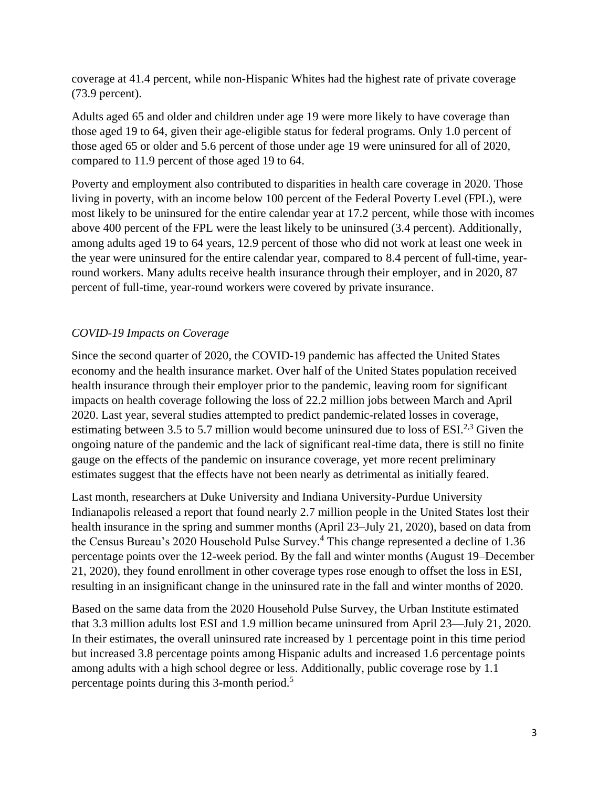coverage at 41.4 percent, while non-Hispanic Whites had the highest rate of private coverage (73.9 percent).

Adults aged 65 and older and children under age 19 were more likely to have coverage than those aged 19 to 64, given their age-eligible status for federal programs. Only 1.0 percent of those aged 65 or older and 5.6 percent of those under age 19 were uninsured for all of 2020, compared to 11.9 percent of those aged 19 to 64.

Poverty and employment also contributed to disparities in health care coverage in 2020. Those living in poverty, with an income below 100 percent of the Federal Poverty Level (FPL), were most likely to be uninsured for the entire calendar year at 17.2 percent, while those with incomes above 400 percent of the FPL were the least likely to be uninsured (3.4 percent). Additionally, among adults aged 19 to 64 years, 12.9 percent of those who did not work at least one week in the year were uninsured for the entire calendar year, compared to 8.4 percent of full-time, yearround workers. Many adults receive health insurance through their employer, and in 2020, 87 percent of full-time, year-round workers were covered by private insurance.

# *COVID-19 Impacts on Coverage*

Since the second quarter of 2020, the COVID-19 pandemic has affected the United States economy and the health insurance market. Over half of the United States population received health insurance through their employer prior to the pandemic, leaving room for significant impacts on health coverage following the loss of 22.2 million jobs between March and April 2020. Last year, several studies attempted to predict pandemic-related losses in coverage, estimating between 3.5 to 5.7 million would become uninsured due to loss of ESI.<sup>2,3</sup> Given the ongoing nature of the pandemic and the lack of significant real-time data, there is still no finite gauge on the effects of the pandemic on insurance coverage, yet more recent preliminary estimates suggest that the effects have not been nearly as detrimental as initially feared.

Last month, researchers at Duke University and Indiana University-Purdue University Indianapolis released a report that found nearly 2.7 million people in the United States lost their health insurance in the spring and summer months (April 23–July 21, 2020), based on data from the Census Bureau's 2020 Household Pulse Survey. <sup>4</sup> This change represented a decline of 1.36 percentage points over the 12-week period. By the fall and winter months (August 19–December 21, 2020), they found enrollment in other coverage types rose enough to offset the loss in ESI, resulting in an insignificant change in the uninsured rate in the fall and winter months of 2020.

Based on the same data from the 2020 Household Pulse Survey, the Urban Institute estimated that 3.3 million adults lost ESI and 1.9 million became uninsured from April 23—July 21, 2020. In their estimates, the overall uninsured rate increased by 1 percentage point in this time period but increased 3.8 percentage points among Hispanic adults and increased 1.6 percentage points among adults with a high school degree or less. Additionally, public coverage rose by 1.1 percentage points during this 3-month period.<sup>5</sup>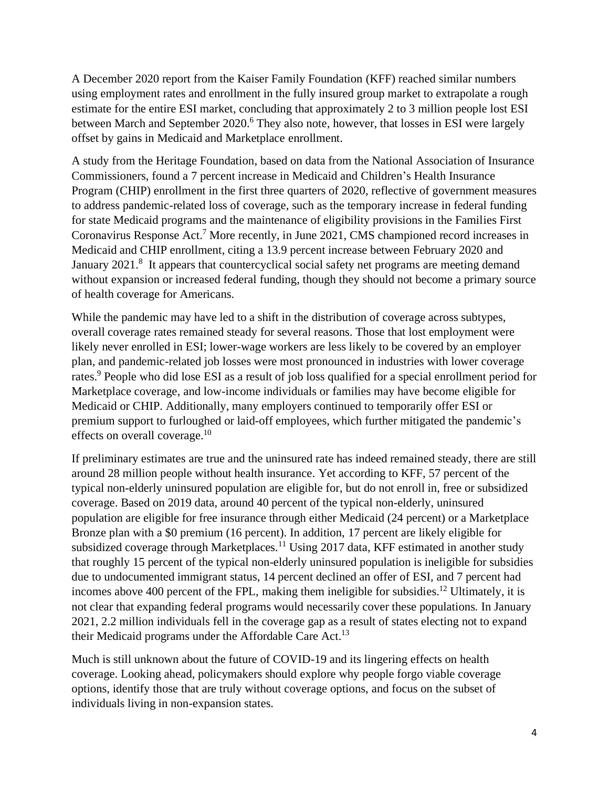A December 2020 report from the Kaiser Family Foundation (KFF) reached similar numbers using employment rates and enrollment in the fully insured group market to extrapolate a rough estimate for the entire ESI market, concluding that approximately 2 to 3 million people lost ESI between March and September 2020.<sup>6</sup> They also note, however, that losses in ESI were largely offset by gains in Medicaid and Marketplace enrollment.

A study from the Heritage Foundation, based on data from the National Association of Insurance Commissioners, found a 7 percent increase in Medicaid and Children's Health Insurance Program (CHIP) enrollment in the first three quarters of 2020, reflective of government measures to address pandemic-related loss of coverage, such as the temporary increase in federal funding for state Medicaid programs and the maintenance of eligibility provisions in the Families First Coronavirus Response Act.<sup>7</sup> More recently, in June 2021, CMS championed record increases in Medicaid and CHIP enrollment, citing a 13.9 percent increase between February 2020 and January 2021.<sup>8</sup> It appears that countercyclical social safety net programs are meeting demand without expansion or increased federal funding, though they should not become a primary source of health coverage for Americans.

While the pandemic may have led to a shift in the distribution of coverage across subtypes, overall coverage rates remained steady for several reasons. Those that lost employment were likely never enrolled in ESI; lower-wage workers are less likely to be covered by an employer plan, and pandemic-related job losses were most pronounced in industries with lower coverage rates.<sup>9</sup> People who did lose ESI as a result of job loss qualified for a special enrollment period for Marketplace coverage, and low-income individuals or families may have become eligible for Medicaid or CHIP. Additionally, many employers continued to temporarily offer ESI or premium support to furloughed or laid-off employees, which further mitigated the pandemic's effects on overall coverage.<sup>10</sup>

If preliminary estimates are true and the uninsured rate has indeed remained steady, there are still around 28 million people without health insurance. Yet according to KFF, 57 percent of the typical non-elderly uninsured population are eligible for, but do not enroll in, free or subsidized coverage. Based on 2019 data, around 40 percent of the typical non-elderly, uninsured population are eligible for free insurance through either Medicaid (24 percent) or a Marketplace Bronze plan with a \$0 premium (16 percent). In addition, 17 percent are likely eligible for subsidized coverage through Marketplaces.<sup>11</sup> Using 2017 data, KFF estimated in another study that roughly 15 percent of the typical non-elderly uninsured population is ineligible for subsidies due to undocumented immigrant status, 14 percent declined an offer of ESI, and 7 percent had incomes above 400 percent of the FPL, making them ineligible for subsidies.<sup>12</sup> Ultimately, it is not clear that expanding federal programs would necessarily cover these populations. In January 2021, 2.2 million individuals fell in the coverage gap as a result of states electing not to expand their Medicaid programs under the Affordable Care Act.<sup>13</sup>

Much is still unknown about the future of COVID-19 and its lingering effects on health coverage. Looking ahead, policymakers should explore why people forgo viable coverage options, identify those that are truly without coverage options, and focus on the subset of individuals living in non-expansion states.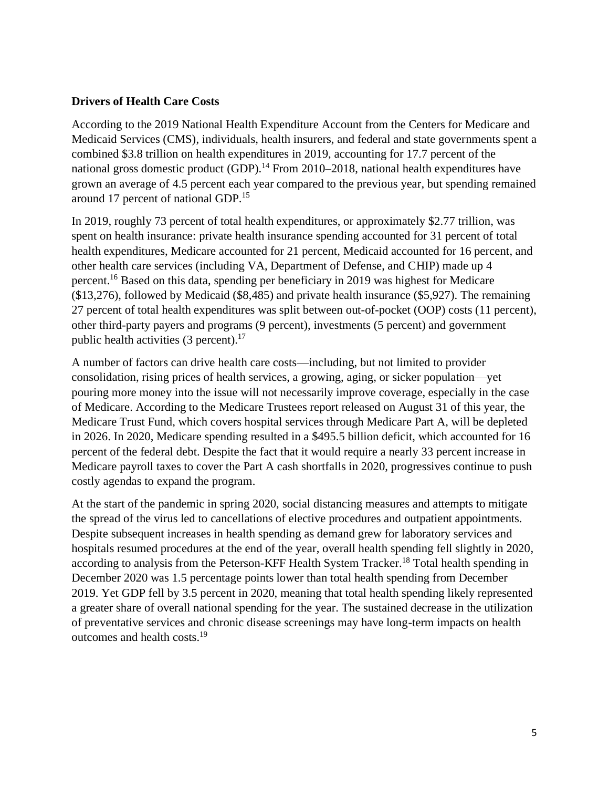#### **Drivers of Health Care Costs**

According to the 2019 National Health Expenditure Account from the Centers for Medicare and Medicaid Services (CMS), individuals, health insurers, and federal and state governments spent a combined \$3.8 trillion on health expenditures in 2019, accounting for 17.7 percent of the national gross domestic product (GDP).<sup>14</sup> From 2010–2018, national health expenditures have grown an average of 4.5 percent each year compared to the previous year, but spending remained around 17 percent of national GDP.<sup>15</sup>

In 2019, roughly 73 percent of total health expenditures, or approximately \$2.77 trillion, was spent on health insurance: private health insurance spending accounted for 31 percent of total health expenditures, Medicare accounted for 21 percent, Medicaid accounted for 16 percent, and other health care services (including VA, Department of Defense, and CHIP) made up 4 percent. <sup>16</sup> Based on this data, spending per beneficiary in 2019 was highest for Medicare (\$13,276), followed by Medicaid (\$8,485) and private health insurance (\$5,927). The remaining 27 percent of total health expenditures was split between out-of-pocket (OOP) costs (11 percent), other third-party payers and programs (9 percent), investments (5 percent) and government public health activities  $(3 \text{ percent})$ .<sup>17</sup>

A number of factors can drive health care costs—including, but not limited to provider consolidation, rising prices of health services, a growing, aging, or sicker population—yet pouring more money into the issue will not necessarily improve coverage, especially in the case of Medicare. According to the Medicare Trustees report released on August 31 of this year, the Medicare Trust Fund, which covers hospital services through Medicare Part A, will be depleted in 2026. In 2020, Medicare spending resulted in a \$495.5 billion deficit, which accounted for 16 percent of the federal debt. Despite the fact that it would require a nearly 33 percent increase in Medicare payroll taxes to cover the Part A cash shortfalls in 2020, progressives continue to push costly agendas to expand the program.

At the start of the pandemic in spring 2020, social distancing measures and attempts to mitigate the spread of the virus led to cancellations of elective procedures and outpatient appointments. Despite subsequent increases in health spending as demand grew for laboratory services and hospitals resumed procedures at the end of the year, overall health spending fell slightly in 2020, according to analysis from the Peterson-KFF Health System Tracker.<sup>18</sup> Total health spending in December 2020 was 1.5 percentage points lower than total health spending from December 2019. Yet GDP fell by 3.5 percent in 2020, meaning that total health spending likely represented a greater share of overall national spending for the year. The sustained decrease in the utilization of preventative services and chronic disease screenings may have long-term impacts on health outcomes and health costs.<sup>19</sup>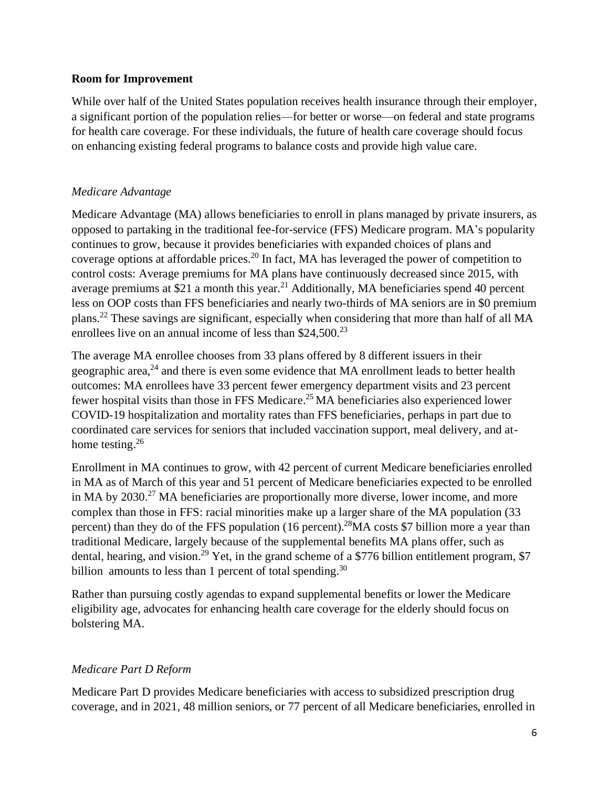#### **Room for Improvement**

While over half of the United States population receives health insurance through their employer, a significant portion of the population relies—for better or worse—on federal and state programs for health care coverage. For these individuals, the future of health care coverage should focus on enhancing existing federal programs to balance costs and provide high value care.

### *Medicare Advantage*

Medicare Advantage (MA) allows beneficiaries to enroll in plans managed by private insurers, as opposed to partaking in the traditional fee-for-service (FFS) Medicare program. MA's popularity continues to grow, because it provides beneficiaries with expanded choices of plans and coverage options at affordable prices.<sup>20</sup> In fact, MA has leveraged the power of competition to control costs: Average premiums for MA plans have continuously decreased since 2015, with average premiums at \$21 a month this year.<sup>21</sup> Additionally, MA beneficiaries spend 40 percent less on OOP costs than FFS beneficiaries and nearly two-thirds of MA seniors are in \$0 premium plans. <sup>22</sup> These savings are significant, especially when considering that more than half of all MA enrollees live on an annual income of less than  $$24,500.^{23}$ 

The average MA enrollee chooses from 33 plans offered by 8 different issuers in their geographic area, $^{24}$  and there is even some evidence that MA enrollment leads to better health outcomes: MA enrollees have 33 percent fewer emergency department visits and 23 percent fewer hospital visits than those in FFS Medicare.<sup>25</sup> MA beneficiaries also experienced lower COVID-19 hospitalization and mortality rates than FFS beneficiaries, perhaps in part due to coordinated care services for seniors that included vaccination support, meal delivery, and athome testing.<sup>26</sup>

Enrollment in MA continues to grow, with 42 percent of current Medicare beneficiaries enrolled in MA as of March of this year and 51 percent of Medicare beneficiaries expected to be enrolled in MA by 2030.<sup>27</sup> MA beneficiaries are proportionally more diverse, lower income, and more complex than those in FFS: racial minorities make up a larger share of the MA population (33 percent) than they do of the FFS population (16 percent).<sup>28</sup>MA costs \$7 billion more a year than traditional Medicare, largely because of the supplemental benefits MA plans offer, such as dental, hearing, and vision.<sup>29</sup> Yet, in the grand scheme of a \$776 billion entitlement program, \$7 billion amounts to less than 1 percent of total spending.<sup>30</sup>

Rather than pursuing costly agendas to expand supplemental benefits or lower the Medicare eligibility age, advocates for enhancing health care coverage for the elderly should focus on bolstering MA.

# *Medicare Part D Reform*

Medicare Part D provides Medicare beneficiaries with access to subsidized prescription drug coverage, and in 2021, 48 million seniors, or 77 percent of all Medicare beneficiaries, enrolled in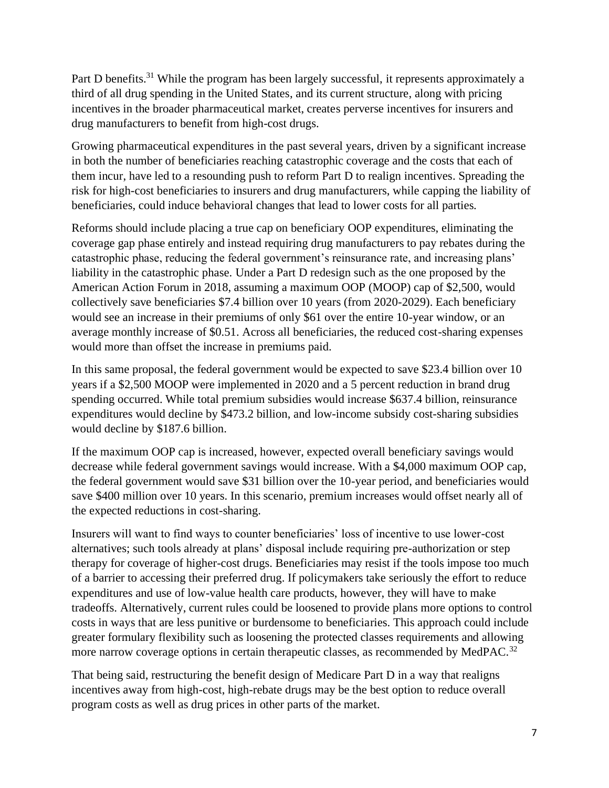Part D benefits.<sup>31</sup> While the program has been largely successful, it represents approximately a third of all drug spending in the United States, and its current structure, along with pricing incentives in the broader pharmaceutical market, creates perverse incentives for insurers and drug manufacturers to benefit from high-cost drugs.

Growing pharmaceutical expenditures in the past several years, driven by a significant increase in both the number of beneficiaries reaching catastrophic coverage and the costs that each of them incur, have led to a resounding push to reform Part D to realign incentives. Spreading the risk for high-cost beneficiaries to insurers and drug manufacturers, while capping the liability of beneficiaries, could induce behavioral changes that lead to lower costs for all parties.

Reforms should include placing a true cap on beneficiary OOP expenditures, eliminating the coverage gap phase entirely and instead requiring drug manufacturers to pay rebates during the catastrophic phase, reducing the federal government's reinsurance rate, and increasing plans' liability in the catastrophic phase. Under a Part D redesign such as the one proposed by the American Action Forum in 2018, assuming a maximum OOP (MOOP) cap of \$2,500, would collectively save beneficiaries \$7.4 billion over 10 years (from 2020-2029). Each beneficiary would see an increase in their premiums of only \$61 over the entire 10-year window, or an average monthly increase of \$0.51. Across all beneficiaries, the reduced cost-sharing expenses would more than offset the increase in premiums paid.

In this same proposal, the federal government would be expected to save \$23.4 billion over 10 years if a \$2,500 MOOP were implemented in 2020 and a 5 percent reduction in brand drug spending occurred. While total premium subsidies would increase \$637.4 billion, reinsurance expenditures would decline by \$473.2 billion, and low-income subsidy cost-sharing subsidies would decline by \$187.6 billion.

If the maximum OOP cap is increased, however, expected overall beneficiary savings would decrease while federal government savings would increase. With a \$4,000 maximum OOP cap, the federal government would save \$31 billion over the 10-year period, and beneficiaries would save \$400 million over 10 years. In this scenario, premium increases would offset nearly all of the expected reductions in cost-sharing.

Insurers will want to find ways to counter beneficiaries' loss of incentive to use lower-cost alternatives; such tools already at plans' disposal include requiring pre-authorization or step therapy for coverage of higher-cost drugs. Beneficiaries may resist if the tools impose too much of a barrier to accessing their preferred drug. If policymakers take seriously the effort to reduce expenditures and use of low-value health care products, however, they will have to make tradeoffs. Alternatively, current rules could be loosened to provide plans more options to control costs in ways that are less punitive or burdensome to beneficiaries. This approach could include greater formulary flexibility such as loosening the protected classes requirements and allowing more narrow coverage options in certain therapeutic classes, as recommended by MedPAC.<sup>32</sup>

That being said, restructuring the benefit design of Medicare Part D in a way that realigns incentives away from high-cost, high-rebate drugs may be the best option to reduce overall program costs as well as drug prices in other parts of the market.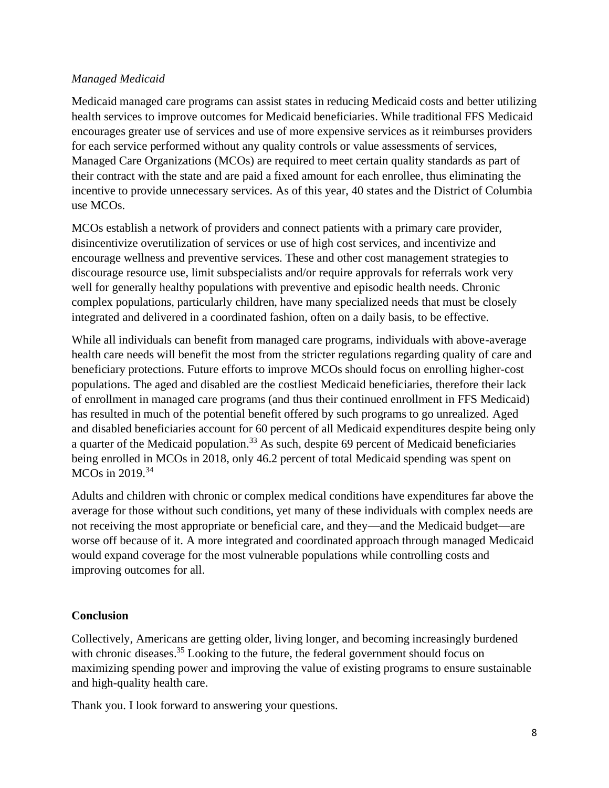# *Managed Medicaid*

Medicaid managed care programs can assist states in reducing Medicaid costs and better utilizing health services to improve outcomes for Medicaid beneficiaries. While traditional FFS Medicaid encourages greater use of services and use of more expensive services as it reimburses providers for each service performed without any quality controls or value assessments of services, Managed Care Organizations (MCOs) are required to meet certain quality standards as part of their contract with the state and are paid a fixed amount for each enrollee, thus eliminating the incentive to provide unnecessary services. As of this year, 40 states and the District of Columbia use MCOs.

MCOs establish a network of providers and connect patients with a primary care provider, disincentivize overutilization of services or use of high cost services, and incentivize and encourage wellness and preventive services. These and other cost management strategies to discourage resource use, limit subspecialists and/or require approvals for referrals work very well for generally healthy populations with preventive and episodic health needs. Chronic complex populations, particularly children, have many specialized needs that must be closely integrated and delivered in a coordinated fashion, often on a daily basis, to be effective.

While all individuals can benefit from managed care programs, individuals with above-average health care needs will benefit the most from the stricter regulations regarding quality of care and beneficiary protections. Future efforts to improve MCOs should focus on enrolling higher-cost populations. The aged and disabled are the costliest Medicaid beneficiaries, therefore their lack of enrollment in managed care programs (and thus their continued enrollment in FFS Medicaid) has resulted in much of the potential benefit offered by such programs to go unrealized. Aged and disabled beneficiaries account for 60 percent of all Medicaid expenditures despite being only a quarter of the Medicaid population.<sup>33</sup> As such, despite 69 percent of Medicaid beneficiaries being enrolled in MCOs in 2018, only 46.2 percent of total Medicaid spending was spent on MCOs in 2019.<sup>34</sup>

Adults and children with chronic or complex medical conditions have expenditures far above the average for those without such conditions, yet many of these individuals with complex needs are not receiving the most appropriate or beneficial care, and they—and the Medicaid budget—are worse off because of it. A more integrated and coordinated approach through managed Medicaid would expand coverage for the most vulnerable populations while controlling costs and improving outcomes for all.

# **Conclusion**

Collectively, Americans are getting older, living longer, and becoming increasingly burdened with chronic diseases.<sup>35</sup> Looking to the future, the federal government should focus on maximizing spending power and improving the value of existing programs to ensure sustainable and high-quality health care.

Thank you. I look forward to answering your questions.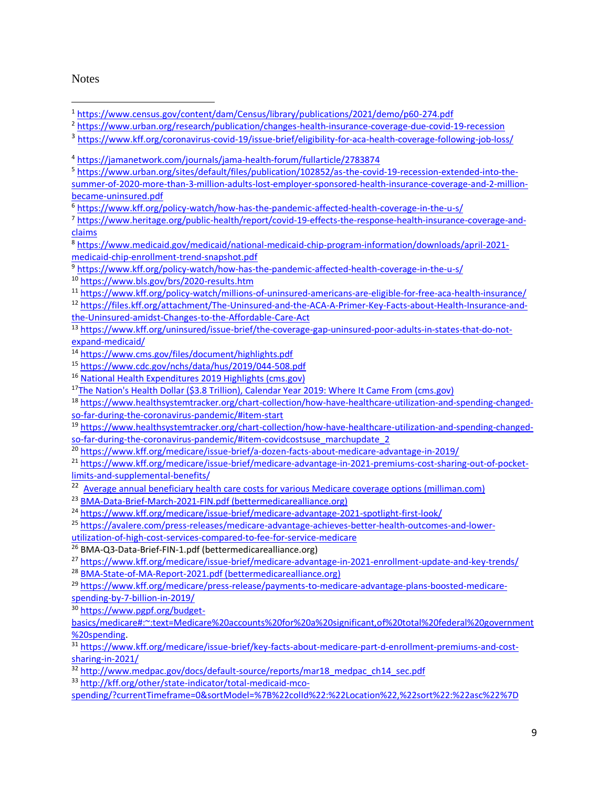#### **Notes**

<sup>3</sup> <https://www.kff.org/coronavirus-covid-19/issue-brief/eligibility-for-aca-health-coverage-following-job-loss/>

<sup>5</sup> [https://www.urban.org/sites/default/files/publication/102852/as-the-covid-19-recession-extended-into-the](https://www.urban.org/sites/default/files/publication/102852/as-the-covid-19-recession-extended-into-the-summer-of-2020-more-than-3-million-adults-lost-employer-sponsored-health-insurance-coverage-and-2-million-became-uninsured.pdf)[summer-of-2020-more-than-3-million-adults-lost-employer-sponsored-health-insurance-coverage-and-2-million](https://www.urban.org/sites/default/files/publication/102852/as-the-covid-19-recession-extended-into-the-summer-of-2020-more-than-3-million-adults-lost-employer-sponsored-health-insurance-coverage-and-2-million-became-uninsured.pdf)[became-uninsured.pdf](https://www.urban.org/sites/default/files/publication/102852/as-the-covid-19-recession-extended-into-the-summer-of-2020-more-than-3-million-adults-lost-employer-sponsored-health-insurance-coverage-and-2-million-became-uninsured.pdf)

<sup>6</sup> <https://www.kff.org/policy-watch/how-has-the-pandemic-affected-health-coverage-in-the-u-s/>

<sup>7</sup> [https://www.heritage.org/public-health/report/covid-19-effects-the-response-health-insurance-coverage-and](https://www.heritage.org/public-health/report/covid-19-effects-the-response-health-insurance-coverage-and-claims)[claims](https://www.heritage.org/public-health/report/covid-19-effects-the-response-health-insurance-coverage-and-claims)

<sup>8</sup> [https://www.medicaid.gov/medicaid/national-medicaid-chip-program-information/downloads/april-2021](https://www.medicaid.gov/medicaid/national-medicaid-chip-program-information/downloads/april-2021-medicaid-chip-enrollment-trend-snapshot.pdf) [medicaid-chip-enrollment-trend-snapshot.pdf](https://www.medicaid.gov/medicaid/national-medicaid-chip-program-information/downloads/april-2021-medicaid-chip-enrollment-trend-snapshot.pdf)

<sup>9</sup> <https://www.kff.org/policy-watch/how-has-the-pandemic-affected-health-coverage-in-the-u-s/>

<sup>10</sup> <https://www.bls.gov/brs/2020-results.htm>

<sup>11</sup> <https://www.kff.org/policy-watch/millions-of-uninsured-americans-are-eligible-for-free-aca-health-insurance/>

13 [https://www.kff.org/uninsured/issue-brief/the-coverage-gap-uninsured-poor-adults-in-states-that-do-not](https://www.kff.org/uninsured/issue-brief/the-coverage-gap-uninsured-poor-adults-in-states-that-do-not-expand-medicaid/)[expand-medicaid/](https://www.kff.org/uninsured/issue-brief/the-coverage-gap-uninsured-poor-adults-in-states-that-do-not-expand-medicaid/)

<sup>14</sup> <https://www.cms.gov/files/document/highlights.pdf>

<sup>15</sup> <https://www.cdc.gov/nchs/data/hus/2019/044-508.pdf>

<sup>16</sup> [National Health Expenditures 2019 Highlights \(cms.gov\)](https://www.cms.gov/files/document/highlights.pdf)

<sup>17</sup>[The Nation's Health Dollar \(\\$3.8 Trillion\), Calendar Year 2019: Where It Came From \(cms.gov\)](https://www.cms.gov/files/document/nations-health-dollar-where-it-came-where-it-went.pdf)

<sup>18</sup> [https://www.healthsystemtracker.org/chart-collection/how-have-healthcare-utilization-and-spending-changed](https://www.healthsystemtracker.org/chart-collection/how-have-healthcare-utilization-and-spending-changed-so-far-during-the-coronavirus-pandemic/#item-start)[so-far-during-the-coronavirus-pandemic/#item-start](https://www.healthsystemtracker.org/chart-collection/how-have-healthcare-utilization-and-spending-changed-so-far-during-the-coronavirus-pandemic/#item-start)

<sup>19</sup> [https://www.healthsystemtracker.org/chart-collection/how-have-healthcare-utilization-and-spending-changed](https://www.healthsystemtracker.org/chart-collection/how-have-healthcare-utilization-and-spending-changed-so-far-during-the-coronavirus-pandemic/#item-covidcostsuse_marchupdate_2)[so-far-during-the-coronavirus-pandemic/#item-covidcostsuse\\_marchupdate\\_2](https://www.healthsystemtracker.org/chart-collection/how-have-healthcare-utilization-and-spending-changed-so-far-during-the-coronavirus-pandemic/#item-covidcostsuse_marchupdate_2)

<sup>20</sup> <https://www.kff.org/medicare/issue-brief/a-dozen-facts-about-medicare-advantage-in-2019/>

<sup>21</sup> [https://www.kff.org/medicare/issue-brief/medicare-advantage-in-2021-premiums-cost-sharing-out-of-pocket](https://www.kff.org/medicare/issue-brief/medicare-advantage-in-2021-premiums-cost-sharing-out-of-pocket-limits-and-supplemental-benefits/)[limits-and-supplemental-benefits/](https://www.kff.org/medicare/issue-brief/medicare-advantage-in-2021-premiums-cost-sharing-out-of-pocket-limits-and-supplemental-benefits/)

<sup>22</sup> Average annual beneficiary health care costs [for various Medicare coverage options \(milliman.com\)](https://www.milliman.com/en/insight/Average-annual-beneficiary-health-care-costs-for-various-Medicare-coverage-options-2021)

<sup>23</sup> [BMA-Data-Brief-March-2021-FIN.pdf \(bettermedicarealliance.org\)](https://bettermedicarealliance.org/wp-content/uploads/2021/03/BMA-Data-Brief-March-2021-FIN.pdf)

<sup>24</sup> <https://www.kff.org/medicare/issue-brief/medicare-advantage-2021-spotlight-first-look/>

<sup>25</sup> [https://avalere.com/press-releases/medicare-advantage-achieves-better-health-outcomes-and-lower-](https://avalere.com/press-releases/medicare-advantage-achieves-better-health-outcomes-and-lower-utilization-of-high-cost-services-compared-to-fee-for-service-medicare)

[utilization-of-high-cost-services-compared-to-fee-for-service-medicare](https://avalere.com/press-releases/medicare-advantage-achieves-better-health-outcomes-and-lower-utilization-of-high-cost-services-compared-to-fee-for-service-medicare)

<sup>26</sup> BMA-Q3-Data-Brief-FIN-1.pdf (bettermedicarealliance.org)

<sup>27</sup> <https://www.kff.org/medicare/issue-brief/medicare-advantage-in-2021-enrollment-update-and-key-trends/>

<sup>28</sup> [BMA-State-of-MA-Report-2021.pdf \(bettermedicarealliance.org\)](https://bettermedicarealliance.org/wp-content/uploads/2021/05/BMA-State-of-MA-Report-2021.pdf)

<sup>29</sup> [https://www.kff.org/medicare/press-release/payments-to-medicare-advantage-plans-boosted-medicare-](https://www.kff.org/medicare/press-release/payments-to-medicare-advantage-plans-boosted-medicare-spending-by-7-billion-in-2019/)

[spending-by-7-billion-in-2019/](https://www.kff.org/medicare/press-release/payments-to-medicare-advantage-plans-boosted-medicare-spending-by-7-billion-in-2019/)

<sup>30</sup> [https://www.pgpf.org/budget-](https://www.pgpf.org/budget-basics/medicare#:~:text=Medicare%20accounts%20for%20a%20significant,of%20total%20federal%20government%20spending)

[basics/medicare#:~:text=Medicare%20accounts%20for%20a%20significant,of%20total%20federal%20government](https://www.pgpf.org/budget-basics/medicare#:~:text=Medicare%20accounts%20for%20a%20significant,of%20total%20federal%20government%20spending) [%20spending.](https://www.pgpf.org/budget-basics/medicare#:~:text=Medicare%20accounts%20for%20a%20significant,of%20total%20federal%20government%20spending)

31 [https://www.kff.org/medicare/issue-brief/key-facts-about-medicare-part-d-enrollment-premiums-and-cost](https://www.kff.org/medicare/issue-brief/key-facts-about-medicare-part-d-enrollment-premiums-and-cost-sharing-in-2021/)[sharing-in-2021/](https://www.kff.org/medicare/issue-brief/key-facts-about-medicare-part-d-enrollment-premiums-and-cost-sharing-in-2021/)

32 [http://www.medpac.gov/docs/default-source/reports/mar18\\_medpac\\_ch14\\_sec.pdf](http://www.medpac.gov/docs/default-source/reports/mar18_medpac_ch14_sec.pdf)

<sup>33</sup> [http://kff.org/other/state-indicator/total-medicaid-mco-](http://kff.org/other/state-indicator/total-medicaid-mco-spending/?currentTimeframe=0&sortModel=%7B%22colId%22:%22Location%22,%22sort%22:%22asc%22%7D)

[spending/?currentTimeframe=0&sortModel=%7B%22colId%22:%22Location%22,%22sort%22:%22asc%22%7D](http://kff.org/other/state-indicator/total-medicaid-mco-spending/?currentTimeframe=0&sortModel=%7B%22colId%22:%22Location%22,%22sort%22:%22asc%22%7D)

<sup>1</sup> <https://www.census.gov/content/dam/Census/library/publications/2021/demo/p60-274.pdf>

<sup>2</sup> <https://www.urban.org/research/publication/changes-health-insurance-coverage-due-covid-19-recession>

<sup>4</sup> <https://jamanetwork.com/journals/jama-health-forum/fullarticle/2783874>

<sup>12</sup> [https://files.kff.org/attachment/The-Uninsured-and-the-ACA-A-Primer-Key-Facts-about-Health-Insurance-and](https://files.kff.org/attachment/The-Uninsured-and-the-ACA-A-Primer-Key-Facts-about-Health-Insurance-and-the-Uninsured-amidst-Changes-to-the-Affordable-Care-Act)[the-Uninsured-amidst-Changes-to-the-Affordable-Care-Act](https://files.kff.org/attachment/The-Uninsured-and-the-ACA-A-Primer-Key-Facts-about-Health-Insurance-and-the-Uninsured-amidst-Changes-to-the-Affordable-Care-Act)